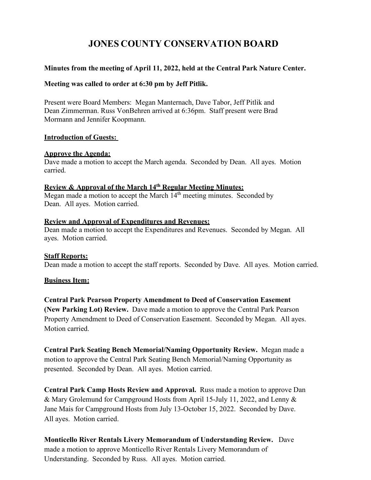# **JONES COUNTY CONSERVATION BOARD**

## **Minutes from the meeting of April 11, 2022, held at the Central Park Nature Center.**

### **Meeting was called to order at 6:30 pm by Jeff Pitlik.**

Present were Board Members: Megan Manternach, Dave Tabor, Jeff Pitlik and Dean Zimmerman. Russ VonBehren arrived at 6:36pm. Staff present were Brad Mormann and Jennifer Koopmann.

#### **Introduction of Guests:**

#### **Approve the Agenda:**

Dave made a motion to accept the March agenda. Seconded by Dean. All ayes. Motion carried.

#### **Review & Approval of the March 14th Regular Meeting Minutes:**

Megan made a motion to accept the March 14<sup>th</sup> meeting minutes. Seconded by Dean. All ayes. Motion carried.

#### **Review and Approval of Expenditures and Revenues:**

Dean made a motion to accept the Expenditures and Revenues. Seconded by Megan. All ayes. Motion carried.

#### **Staff Reports:**

Dean made a motion to accept the staff reports. Seconded by Dave. All ayes. Motion carried.

#### **Business Item:**

**Central Park Pearson Property Amendment to Deed of Conservation Easement (New Parking Lot) Review.** Dave made a motion to approve the Central Park Pearson Property Amendment to Deed of Conservation Easement. Seconded by Megan. All ayes. Motion carried.

**Central Park Seating Bench Memorial/Naming Opportunity Review.** Megan made a motion to approve the Central Park Seating Bench Memorial/Naming Opportunity as presented. Seconded by Dean. All ayes. Motion carried.

**Central Park Camp Hosts Review and Approval.** Russ made a motion to approve Dan & Mary Grolemund for Campground Hosts from April 15-July 11, 2022, and Lenny & Jane Mais for Campground Hosts from July 13-October 15, 2022. Seconded by Dave. All ayes. Motion carried.

**Monticello River Rentals Livery Memorandum of Understanding Review.** Dave made a motion to approve Monticello River Rentals Livery Memorandum of Understanding. Seconded by Russ. All ayes. Motion carried.